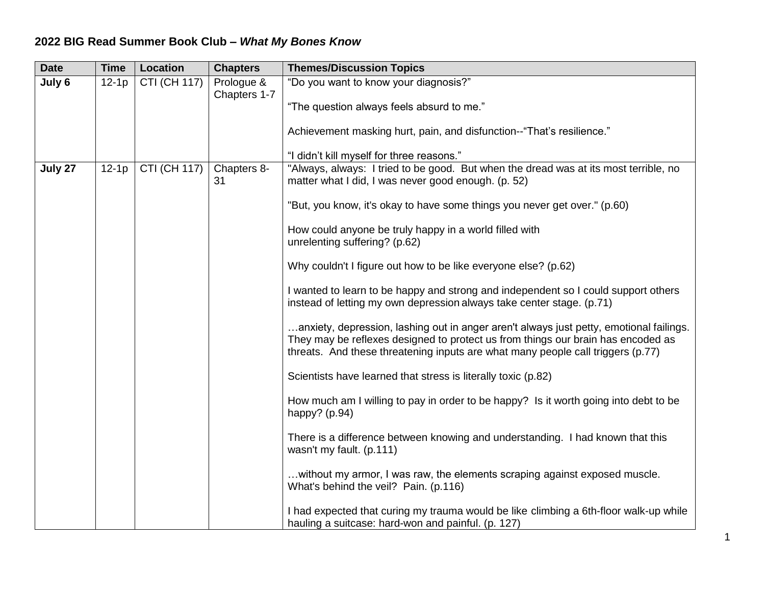## **2022 BIG Read Summer Book Club –** *What My Bones Know*

| <b>Date</b> | <b>Time</b> | <b>Location</b>     | <b>Chapters</b>            | <b>Themes/Discussion Topics</b>                                                                                                                                                                                                                                |
|-------------|-------------|---------------------|----------------------------|----------------------------------------------------------------------------------------------------------------------------------------------------------------------------------------------------------------------------------------------------------------|
| July 6      | $12-1p$     | <b>CTI (CH 117)</b> | Prologue &<br>Chapters 1-7 | "Do you want to know your diagnosis?"<br>"The question always feels absurd to me."                                                                                                                                                                             |
|             |             |                     |                            | Achievement masking hurt, pain, and disfunction--"That's resilience."                                                                                                                                                                                          |
|             |             |                     |                            | "I didn't kill myself for three reasons."                                                                                                                                                                                                                      |
| July 27     | $12-1p$     | <b>CTI (CH 117)</b> | Chapters 8-<br>31          | "Always, always: I tried to be good. But when the dread was at its most terrible, no<br>matter what I did, I was never good enough. (p. 52)                                                                                                                    |
|             |             |                     |                            | "But, you know, it's okay to have some things you never get over." (p.60)                                                                                                                                                                                      |
|             |             |                     |                            | How could anyone be truly happy in a world filled with<br>unrelenting suffering? (p.62)                                                                                                                                                                        |
|             |             |                     |                            | Why couldn't I figure out how to be like everyone else? (p.62)                                                                                                                                                                                                 |
|             |             |                     |                            | I wanted to learn to be happy and strong and independent so I could support others<br>instead of letting my own depression always take center stage. (p.71)                                                                                                    |
|             |             |                     |                            | anxiety, depression, lashing out in anger aren't always just petty, emotional failings.<br>They may be reflexes designed to protect us from things our brain has encoded as<br>threats. And these threatening inputs are what many people call triggers (p.77) |
|             |             |                     |                            | Scientists have learned that stress is literally toxic (p.82)                                                                                                                                                                                                  |
|             |             |                     |                            | How much am I willing to pay in order to be happy? Is it worth going into debt to be<br>happy? (p.94)                                                                                                                                                          |
|             |             |                     |                            | There is a difference between knowing and understanding. I had known that this<br>wasn't my fault. (p.111)                                                                                                                                                     |
|             |             |                     |                            | without my armor, I was raw, the elements scraping against exposed muscle.<br>What's behind the veil? Pain. (p.116)                                                                                                                                            |
|             |             |                     |                            | I had expected that curing my trauma would be like climbing a 6th-floor walk-up while<br>hauling a suitcase: hard-won and painful. (p. 127)                                                                                                                    |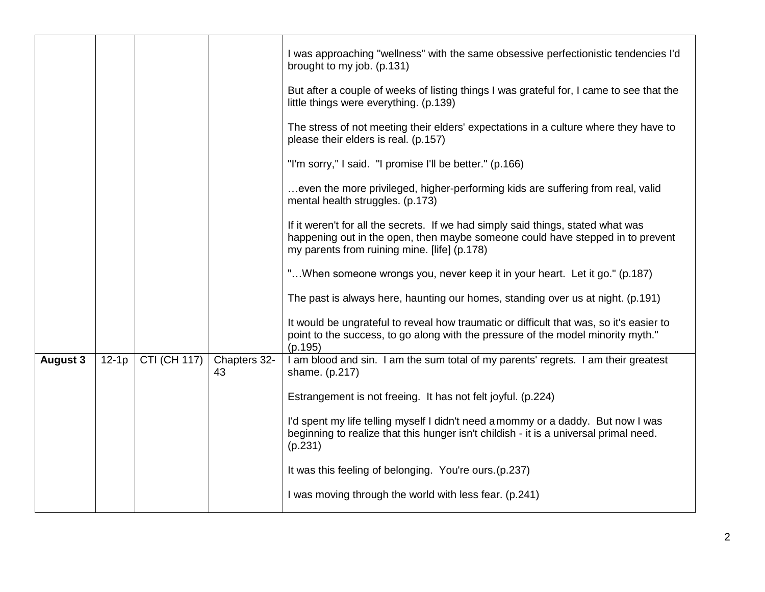|                 |         |                     |                    | I was approaching "wellness" with the same obsessive perfectionistic tendencies I'd<br>brought to my job. (p.131)                                                                                                  |
|-----------------|---------|---------------------|--------------------|--------------------------------------------------------------------------------------------------------------------------------------------------------------------------------------------------------------------|
|                 |         |                     |                    | But after a couple of weeks of listing things I was grateful for, I came to see that the<br>little things were everything. (p.139)                                                                                 |
|                 |         |                     |                    | The stress of not meeting their elders' expectations in a culture where they have to<br>please their elders is real. (p.157)                                                                                       |
|                 |         |                     |                    | "I'm sorry," I said. "I promise I'll be better." (p.166)                                                                                                                                                           |
|                 |         |                     |                    | even the more privileged, higher-performing kids are suffering from real, valid<br>mental health struggles. (p.173)                                                                                                |
|                 |         |                     |                    | If it weren't for all the secrets. If we had simply said things, stated what was<br>happening out in the open, then maybe someone could have stepped in to prevent<br>my parents from ruining mine. [life] (p.178) |
|                 |         |                     |                    | "When someone wrongs you, never keep it in your heart. Let it go." (p.187)                                                                                                                                         |
|                 |         |                     |                    | The past is always here, haunting our homes, standing over us at night. (p.191)                                                                                                                                    |
|                 |         |                     |                    | It would be ungrateful to reveal how traumatic or difficult that was, so it's easier to<br>point to the success, to go along with the pressure of the model minority myth."<br>(p.195)                             |
| <b>August 3</b> | $12-1p$ | <b>CTI (CH 117)</b> | Chapters 32-<br>43 | I am blood and sin. I am the sum total of my parents' regrets. I am their greatest<br>shame. (p.217)                                                                                                               |
|                 |         |                     |                    | Estrangement is not freeing. It has not felt joyful. (p.224)                                                                                                                                                       |
|                 |         |                     |                    | I'd spent my life telling myself I didn't need a mommy or a daddy. But now I was<br>beginning to realize that this hunger isn't childish - it is a universal primal need.<br>(p.231)                               |
|                 |         |                     |                    | It was this feeling of belonging. You're ours. (p.237)                                                                                                                                                             |
|                 |         |                     |                    | I was moving through the world with less fear. (p.241)                                                                                                                                                             |